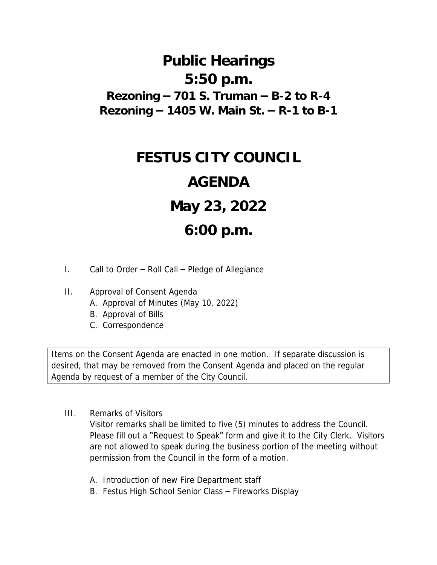## **Public Hearings 5:50 p.m. Rezoning – 701 S. Truman – B-2 to R-4 Rezoning – 1405 W. Main St. – R-1 to B-1**

## **FESTUS CITY COUNCIL AGENDA May 23, 2022 6:00 p.m.**

- I. Call to Order Roll Call Pledge of Allegiance
- II. Approval of Consent Agenda
	- A. Approval of Minutes (May 10, 2022)
	- B. Approval of Bills
	- C. Correspondence

Items on the Consent Agenda are enacted in one motion. If separate discussion is desired, that may be removed from the Consent Agenda and placed on the regular Agenda by request of a member of the City Council.

III. Remarks of Visitors

Visitor remarks shall be limited to five (5) minutes to address the Council. Please fill out a "Request to Speak" form and give it to the City Clerk. Visitors are not allowed to speak during the business portion of the meeting without permission from the Council in the form of a motion.

- A. Introduction of new Fire Department staff
- B. Festus High School Senior Class Fireworks Display